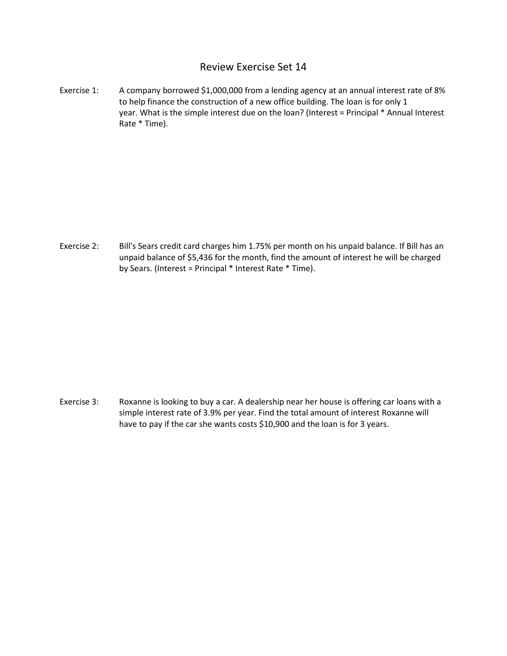## Review Exercise Set 14

Exercise 1: A company borrowed \$1,000,000 from a lending agency at an annual interest rate of 8% to help finance the construction of a new office building. The loan is for only 1 year. What is the simple interest due on the loan? (Interest = Principal \* Annual Interest Rate \* Time).

Exercise 2: Bill's Sears credit card charges him 1.75% per month on his unpaid balance. If Bill has an unpaid balance of \$5,436 for the month, find the amount of interest he will be charged by Sears. (Interest = Principal \* Interest Rate \* Time).

Exercise 3: Roxanne is looking to buy a car. A dealership near her house is offering car loans with a simple interest rate of 3.9% per year. Find the total amount of interest Roxanne will have to pay if the car she wants costs \$10,900 and the loan is for 3 years.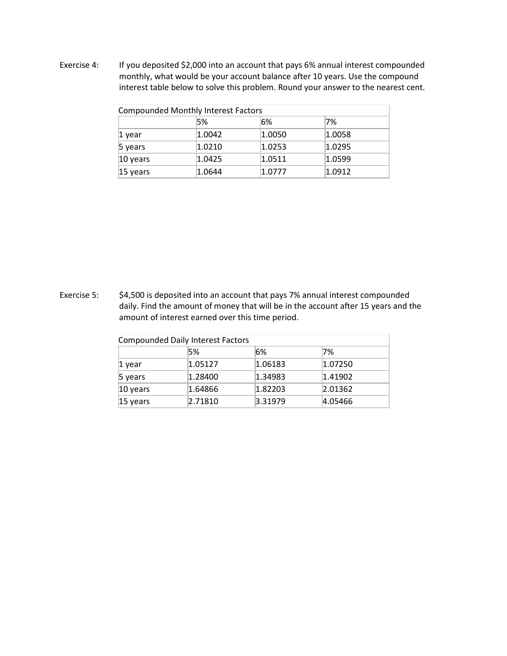Exercise 4: If you deposited \$2,000 into an account that pays 6% annual interest compounded monthly, what would be your account balance after 10 years. Use the compound interest table below to solve this problem. Round your answer to the nearest cent.

| Compounded Monthly Interest Factors |                  |        |        |  |  |
|-------------------------------------|------------------|--------|--------|--|--|
|                                     | 5%               | 6%     | 7%     |  |  |
| 1 year                              | $ 1.0042\rangle$ | 1.0050 | 1.0058 |  |  |
| 5 years                             | 1.0210           | 1.0253 | 1.0295 |  |  |
| 10 years                            | 1.0425           | 1.0511 | 1.0599 |  |  |
| $15$ years                          | 1.0644           | 1.0777 | 1.0912 |  |  |

Exercise 5: \$4,500 is deposited into an account that pays 7% annual interest compounded daily. Find the amount of money that will be in the account after 15 years and the amount of interest earned over this time period.

| <b>Compounded Daily Interest Factors</b> |         |                   |                   |  |  |
|------------------------------------------|---------|-------------------|-------------------|--|--|
|                                          | 5%      | 6%                | 7%                |  |  |
| 1 year                                   | 1.05127 | 1.06183           | 1.07250           |  |  |
| 5 years                                  | 1.28400 | 1.34983           | 1.41902           |  |  |
| 10 years                                 | 1.64866 | 1.82203           | $ 2.01362\rangle$ |  |  |
| 15 years                                 | 2.71810 | $ 3.31979\rangle$ | 4.05466           |  |  |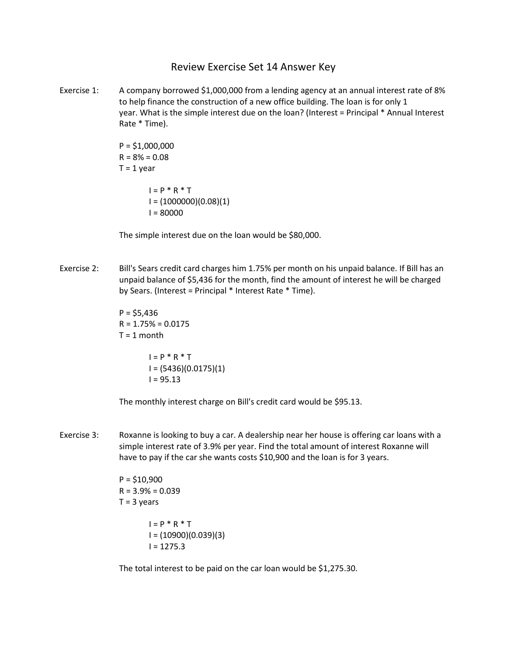Review Exercise Set 14 Answer Key

Exercise 1: A company borrowed \$1,000,000 from a lending agency at an annual interest rate of 8% to help finance the construction of a new office building. The loan is for only 1 year. What is the simple interest due on the loan? (Interest = Principal \* Annual Interest Rate \* Time).

> $P = $1,000,000$  $R = 8% = 0.08$  $T = 1$  year  $I = P * R * T$  $I = (1000000)(0.08)(1)$  $I = 80000$

The simple interest due on the loan would be \$80,000.

Exercise 2: Bill's Sears credit card charges him 1.75% per month on his unpaid balance. If Bill has an unpaid balance of \$5,436 for the month, find the amount of interest he will be charged by Sears. (Interest = Principal \* Interest Rate \* Time).

> $P = $5,436$  $R = 1.75\% = 0.0175$  $T = 1$  month

> > $I = P * R * T$ I = (5436)(0.0175)(1)  $I = 95.13$

The monthly interest charge on Bill's credit card would be \$95.13.

Exercise 3: Roxanne is looking to buy a car. A dealership near her house is offering car loans with a simple interest rate of 3.9% per year. Find the total amount of interest Roxanne will have to pay if the car she wants costs \$10,900 and the loan is for 3 years.

> $P = $10,900$  $R = 3.9\% = 0.039$  $T = 3$  years  $I = P * R * T$  $I = (10900)(0.039)(3)$  $I = 1275.3$

The total interest to be paid on the car loan would be \$1,275.30.